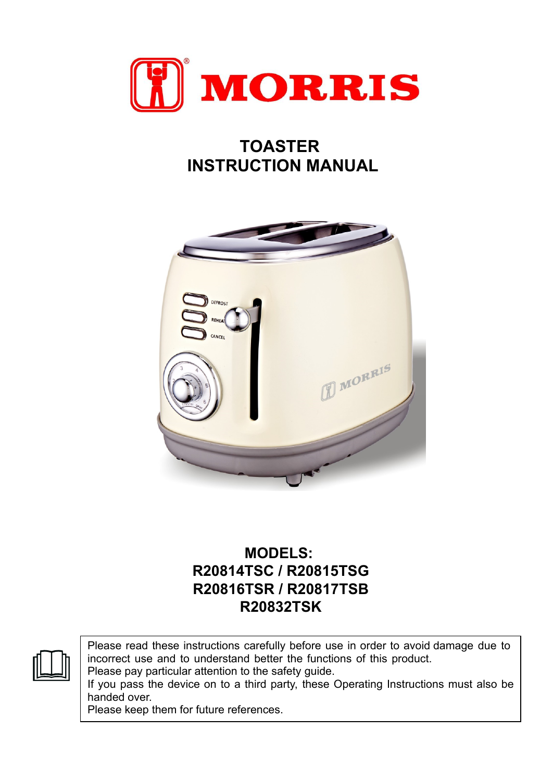

## **TOASTER INSTRUCTION MANUAL**



## **MODELS: R20814TSC / R20815TSG R20816TSR / R20817TSB R20832TSK**

Please read these instructions carefully before use in order to avoid damage due to incorrect use and to understand better the functions of this product.

Please pay particular attention to the safety guide.

If you pass the device on to a third party, these Operating Instructions must also be handed over.

Please keep them for future references.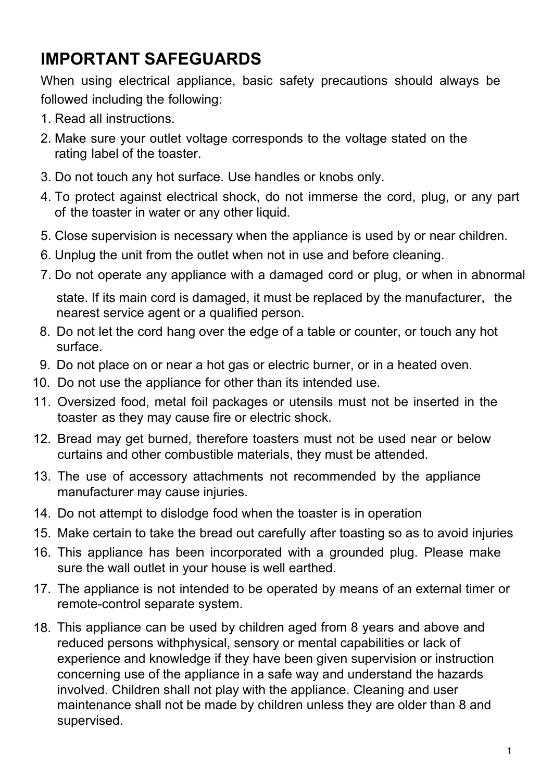# **IMPORTANT SAFEGUARDS**

When using electrical appliance, basic safety precautions should always be followed including the following:

- 1. Read all instructions.
- 2. Make sure your outlet voltage corresponds to the voltage stated on the rating label of the toaster.
- 3. Do not touch any hot surface. Use handles or knobs only.
- 4. To protect against electrical shock, do not immerse the cord, plug, or any part of the toaster in water or any other liquid.
- 5. Close supervision is necessary when the appliance is used by or near children.
- 6. Unplug the unit from the outlet when not in use and before cleaning.
- 7. Do not operate any appliance with a damaged cord or plug, or when in abnormal

state. If its main cord is damaged, it must be replaced by the manufacturer, the nearest service agent or a qualified person.

- 8. Do not let the cord hang over the edge of a table or counter, or touch any hot surface.
- 9. Do not place on or near a hot gas or electric burner, or in a heated oven.
- 10. Do not use the appliance for other than its intended use.
- 11. Oversized food, metal foil packages or utensils must not be inserted in the toaster as they may cause fire or electric shock.
- 12. Bread may get burned, therefore toasters must not be used near or below curtains and other combustible materials, they must be attended.
- 13. The use of accessory attachments not recommended by the appliance manufacturer may cause injuries.
- 14. Do not attempt to dislodge food when the toaster is in operation
- 15. Make certain to take the bread out carefully after toasting so as to avoid injuries
- 16. This appliance has been incorporated with a grounded plug. Please make sure the wall outlet in your house is well earthed.
- 17. The appliance is not intended to be operated by means of an external timer or remote-control separate system.
- 18. This appliance can be used by children aged from 8 years and above and reduced persons withphysical, sensory or mental capabilities or lack of experience and knowledge if they have been given supervision or instruction concerning use of the appliance in a safe way and understand the hazards involved. Children shall not play with the appliance. Cleaning and user maintenance shall not be made by children unless they are older than 8 and supervised.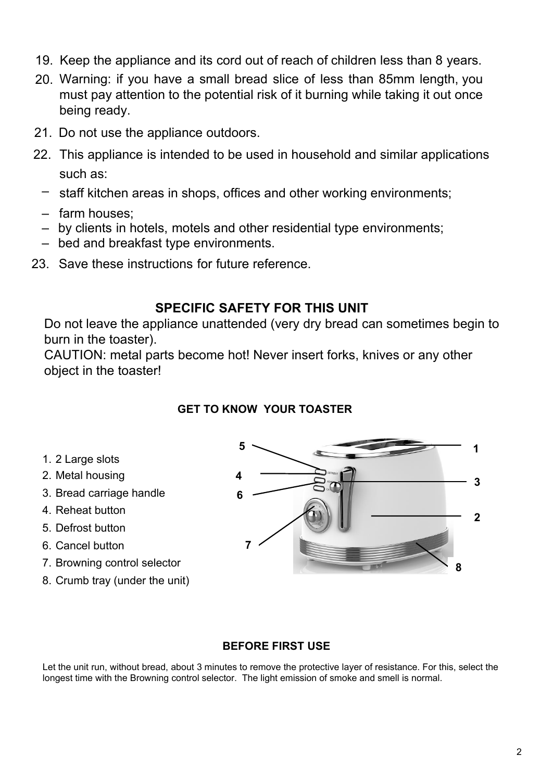- 19. Keep the appliance and its cord out of reach of children less than 8 years.
- 20. Warning: if you have a small bread slice of less than 85mm length, you must pay attention to the potential risk of it burning while taking it out once being ready.
- 21. Do not use the appliance outdoors.
- 22. This appliance is intended to be used in household and similar applications such as:
	- staff kitchen areas in shops, offices and other working environments;
	- farm houses;
	- by clients in hotels, motels and other residential type environments;
	- bed and breakfast type environments.
- 23. Save these instructions for future reference.

## **SPECIFIC SAFETY FOR THIS UNIT**

Do not leave the appliance unattended (very dry bread can sometimes begin to burn in the toaster).

CAUTION: metal parts become hot! Never insert forks, knives or any other object in the toaster!

## **GET TO KNOW YOUR TOASTER**

- 1. 2 Large slots
- 2. Metal housing
- 3. Bread carriage handle
- 4. Reheat button
- 5. Defrost button
- 6. Cancel button
- 7. Browning control selector
- 8. Crumb tray (under the unit)



### **BEFORE FIRST USE**

Let the unit run, without bread, about 3 minutes to remove the protective layer of resistance. For this, select the longest time with the Browning control selector. The light emission of smoke and smell is normal.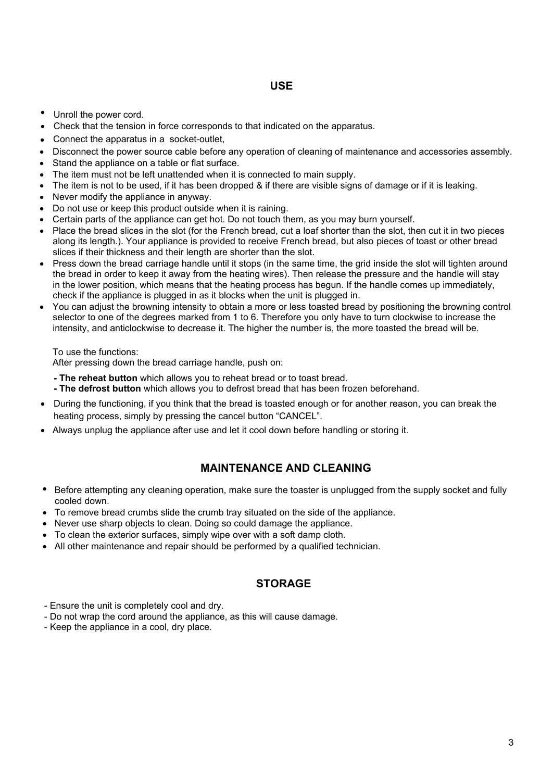- Unroll the power cord.
- Check that the tension in force corresponds to that indicated on the apparatus.
- Connect the apparatus in a socket-outlet,
- Disconnect the power source cable before any operation of cleaning of maintenance and accessories assembly.
- Stand the appliance on a table or flat surface.
- The item must not be left unattended when it is connected to main supply.
- The item is not to be used, if it has been dropped & if there are visible signs of damage or if it is leaking.
- Never modify the appliance in anyway.
- Do not use or keep this product outside when it is raining.
- Certain parts of the appliance can get hot. Do not touch them, as you may burn yourself.
- Place the bread slices in the slot (for the French bread, cut a loaf shorter than the slot, then cut it in two pieces along its length.). Your appliance is provided to receive French bread, but also pieces of toast or other bread slices if their thickness and their length are shorter than the slot.
- Press down the bread carriage handle until it stops (in the same time, the grid inside the slot will tighten around the bread in order to keep it away from the heating wires). Then release the pressure and the handle will stay in the lower position, which means that the heating process has begun. If the handle comes up immediately, check if the appliance is plugged in as it blocks when the unit is plugged in.
- You can adjust the browning intensity to obtain a more or less toasted bread by positioning the browning control selector to one of the degrees marked from 1 to 6. Therefore you only have to turn clockwise to increase the intensity, and anticlockwise to decrease it. The higher the number is, the more toasted the bread will be.

To use the functions:

After pressing down the bread carriage handle, push on:

- **The reheat button** which allows you to reheat bread or to toast bread.
- **The defrost button** which allows you to defrost bread that has been frozen beforehand.
- During the functioning, if you think that the bread is toasted enough or for another reason, you can break the heating process, simply by pressing the cancel button "CANCEL".
- Always unplug the appliance after use and let it cool down before handling or storing it.

#### **MAINTENANCE AND CLEANING**

- Before attempting any cleaning operation, make sure the toaster is unplugged from the supply socket and fully cooled down.
- To remove bread crumbs slide the crumb tray situated on the side of the appliance.
- Never use sharp objects to clean. Doing so could damage the appliance.
- To clean the exterior surfaces, simply wipe over with a soft damp cloth.
- All other maintenance and repair should be performed by a qualified technician.

#### **STORAGE**

- Ensure the unit is completely cool and dry.
- Do not wrap the cord around the appliance, as this will cause damage.
- Keep the appliance in a cool, dry place.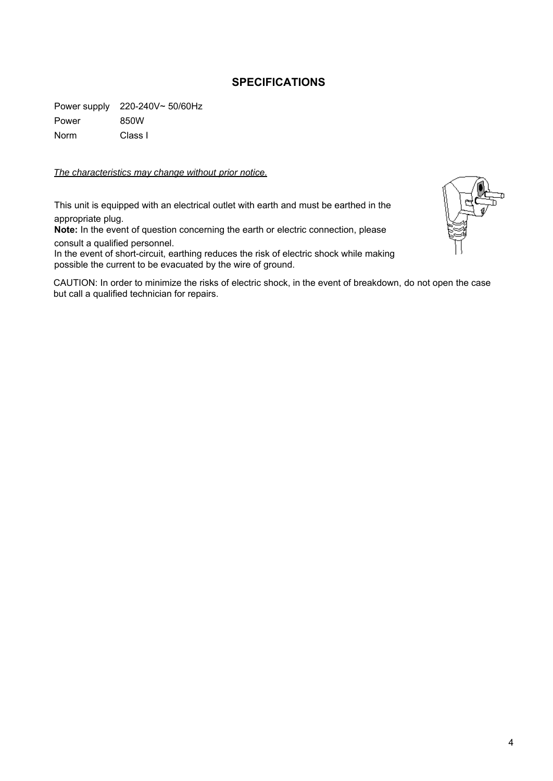#### **SPECIFICATIONS**

Power supply 220-240V~ 50/60Hz Power 850W Norm Class I

#### *The characteristics may change without prior notice.*

This unit is equipped with an electrical outlet with earth and must be earthed in the appropriate plug.

**Note:** In the event of question concerning the earth or electric connection, please consult a qualified personnel.

In the event of short-circuit, earthing reduces the risk of electric shock while making possible the current to be evacuated by the wire of ground.

CAUTION: In order to minimize the risks of electric shock, in the event of breakdown, do not open the case but call a qualified technician for repairs.